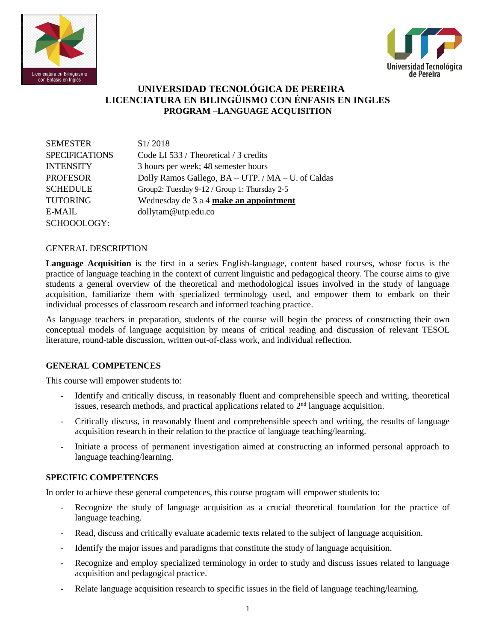



## **UNIVERSIDAD TECNOLÓGICA DE PEREIRA LICENCIATURA EN BILINGÜISMO CON ÉNFASIS EN INGLES PROGRAM –LANGUAGE ACQUISITION**

| <b>SEMESTER</b>       | S <sub>1</sub> /2018                               |
|-----------------------|----------------------------------------------------|
| <b>SPECIFICATIONS</b> | Code LI 533 / Theoretical / 3 credits              |
| <b>INTENSITY</b>      | 3 hours per week; 48 semester hours                |
| <b>PROFESOR</b>       | Dolly Ramos Gallego, BA - UTP. / MA - U. of Caldas |
| <b>SCHEDULE</b>       | Group2: Tuesday 9-12 / Group 1: Thursday 2-5       |
| <b>TUTORING</b>       | Wednesday de 3 a 4 make an appointment             |
| $E-MAIL$              | dollytam@utp.edu.co                                |
| SCHOOOLOGY:           |                                                    |

#### GENERAL DESCRIPTION

**Language Acquisition** is the first in a series English-language, content based courses, whose focus is the practice of language teaching in the context of current linguistic and pedagogical theory. The course aims to give students a general overview of the theoretical and methodological issues involved in the study of language acquisition, familiarize them with specialized terminology used, and empower them to embark on their individual processes of classroom research and informed teaching practice.

As language teachers in preparation, students of the course will begin the process of constructing their own conceptual models of language acquisition by means of critical reading and discussion of relevant TESOL literature, round-table discussion, written out-of-class work, and individual reflection.

#### **GENERAL COMPETENCES**

This course will empower students to:

- Identify and critically discuss, in reasonably fluent and comprehensible speech and writing, theoretical issues, research methods, and practical applications related to 2<sup>nd</sup> language acquisition.
- Critically discuss, in reasonably fluent and comprehensible speech and writing, the results of language acquisition research in their relation to the practice of language teaching/learning.
- Initiate a process of permanent investigation aimed at constructing an informed personal approach to language teaching/learning.

#### **SPECIFIC COMPETENCES**

In order to achieve these general competences, this course program will empower students to:

- Recognize the study of language acquisition as a crucial theoretical foundation for the practice of language teaching.
- Read, discuss and critically evaluate academic texts related to the subject of language acquisition.
- Identify the major issues and paradigms that constitute the study of language acquisition.
- Recognize and employ specialized terminology in order to study and discuss issues related to language acquisition and pedagogical practice.
- Relate language acquisition research to specific issues in the field of language teaching/learning.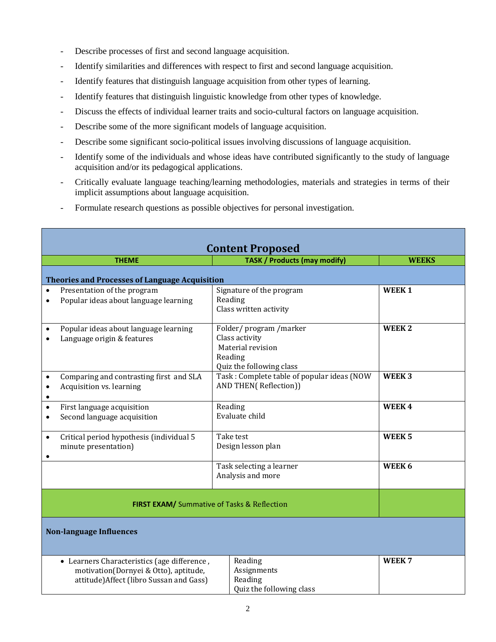- Describe processes of first and second language acquisition.
- Identify similarities and differences with respect to first and second language acquisition.
- Identify features that distinguish language acquisition from other types of learning.
- Identify features that distinguish linguistic knowledge from other types of knowledge.
- Discuss the effects of individual learner traits and socio-cultural factors on language acquisition.
- Describe some of the more significant models of language acquisition.
- Describe some significant socio-political issues involving discussions of language acquisition.
- Identify some of the individuals and whose ideas have contributed significantly to the study of language acquisition and/or its pedagogical applications.
- Critically evaluate language teaching/learning methodologies, materials and strategies in terms of their implicit assumptions about language acquisition.
- Formulate research questions as possible objectives for personal investigation.

| <b>Content Proposed</b>                                                                                                          |                                                                      |  |                                                                                                     |                   |  |  |  |  |
|----------------------------------------------------------------------------------------------------------------------------------|----------------------------------------------------------------------|--|-----------------------------------------------------------------------------------------------------|-------------------|--|--|--|--|
|                                                                                                                                  | <b>THEME</b>                                                         |  | <b>TASK / Products (may modify)</b>                                                                 | <b>WEEKS</b>      |  |  |  |  |
|                                                                                                                                  | <b>Theories and Processes of Language Acquisition</b>                |  |                                                                                                     |                   |  |  |  |  |
| $\bullet$<br>$\bullet$                                                                                                           | Presentation of the program<br>Popular ideas about language learning |  | Signature of the program<br>Reading<br>Class written activity                                       | WEEK <sub>1</sub> |  |  |  |  |
| $\bullet$                                                                                                                        | Popular ideas about language learning<br>Language origin & features  |  | Folder/program/marker<br>Class activity<br>Material revision<br>Reading<br>Quiz the following class | WEEK <sub>2</sub> |  |  |  |  |
| $\bullet$<br>$\bullet$<br>$\bullet$                                                                                              | Comparing and contrasting first and SLA<br>Acquisition vs. learning  |  | Task: Complete table of popular ideas (NOW<br>AND THEN(Reflection))                                 | WEEK <sub>3</sub> |  |  |  |  |
| $\bullet$<br>$\bullet$                                                                                                           | First language acquisition<br>Second language acquisition            |  | Reading<br>Evaluate child                                                                           | WEEK4             |  |  |  |  |
| $\bullet$                                                                                                                        | Critical period hypothesis (individual 5<br>minute presentation)     |  | Take test<br>Design lesson plan                                                                     | WEEK <sub>5</sub> |  |  |  |  |
|                                                                                                                                  | Task selecting a learner<br>Analysis and more                        |  |                                                                                                     | WEEK 6            |  |  |  |  |
|                                                                                                                                  | <b>FIRST EXAM/</b> Summative of Tasks & Reflection                   |  |                                                                                                     |                   |  |  |  |  |
| <b>Non-language Influences</b>                                                                                                   |                                                                      |  |                                                                                                     |                   |  |  |  |  |
| • Learners Characteristics (age difference,<br>motivation(Dornyei & Otto), aptitude,<br>attitude) Affect (libro Sussan and Gass) |                                                                      |  | Reading<br>Assignments<br>Reading<br>Quiz the following class                                       | WEEK <sub>7</sub> |  |  |  |  |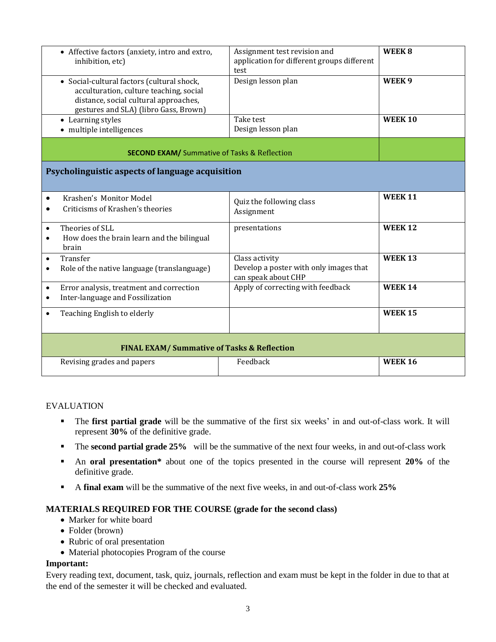| • Affective factors (anxiety, intro and extro,<br>inhibition, etc)                                                                                                      | Assignment test revision and<br>application for different groups different<br>test | WEEK <sub>8</sub> |  |  |
|-------------------------------------------------------------------------------------------------------------------------------------------------------------------------|------------------------------------------------------------------------------------|-------------------|--|--|
| • Social-cultural factors (cultural shock,<br>acculturation, culture teaching, social<br>distance, social cultural approaches,<br>gestures and SLA) (libro Gass, Brown) | Design lesson plan                                                                 | WEEK <sub>9</sub> |  |  |
| • Learning styles<br>• multiple intelligences                                                                                                                           | Take test<br>Design lesson plan                                                    | <b>WEEK 10</b>    |  |  |
| <b>SECOND EXAM/</b> Summative of Tasks & Reflection                                                                                                                     |                                                                                    |                   |  |  |
| Psycholinguistic aspects of language acquisition                                                                                                                        |                                                                                    |                   |  |  |
| Krashen's Monitor Model<br>$\bullet$<br>Criticisms of Krashen's theories                                                                                                | Quiz the following class<br>Assignment                                             | <b>WEEK 11</b>    |  |  |
| Theories of SLL<br>$\bullet$<br>How does the brain learn and the bilingual<br>$\bullet$<br>brain                                                                        | presentations                                                                      | <b>WEEK 12</b>    |  |  |
| Transfer<br>$\bullet$<br>Role of the native language (translanguage)<br>$\bullet$                                                                                       | Class activity<br>Develop a poster with only images that<br>can speak about CHP    | <b>WEEK 13</b>    |  |  |
| Error analysis, treatment and correction<br>$\bullet$<br>Inter-language and Fossilization<br>٠                                                                          | Apply of correcting with feedback                                                  | <b>WEEK 14</b>    |  |  |
| Teaching English to elderly<br>$\bullet$                                                                                                                                |                                                                                    | <b>WEEK 15</b>    |  |  |
| <b>FINAL EXAM/ Summative of Tasks &amp; Reflection</b>                                                                                                                  |                                                                                    |                   |  |  |
| Revising grades and papers                                                                                                                                              | Feedback                                                                           | <b>WEEK 16</b>    |  |  |

## EVALUATION

- The **first partial grade** will be the summative of the first six weeks' in and out-of-class work. It will represent **30%** of the definitive grade.
- **The second partial grade 25%** will be the summative of the next four weeks, in and out-of-class work
- An **oral presentation\*** about one of the topics presented in the course will represent **20%** of the definitive grade.
- A **final exam** will be the summative of the next five weeks, in and out-of-class work **25%**

#### **MATERIALS REQUIRED FOR THE COURSE (grade for the second class)**

- Marker for white board
- Folder (brown)
- Rubric of oral presentation
- Material photocopies Program of the course

#### **Important:**

Every reading text, document, task, quiz, journals, reflection and exam must be kept in the folder in due to that at the end of the semester it will be checked and evaluated.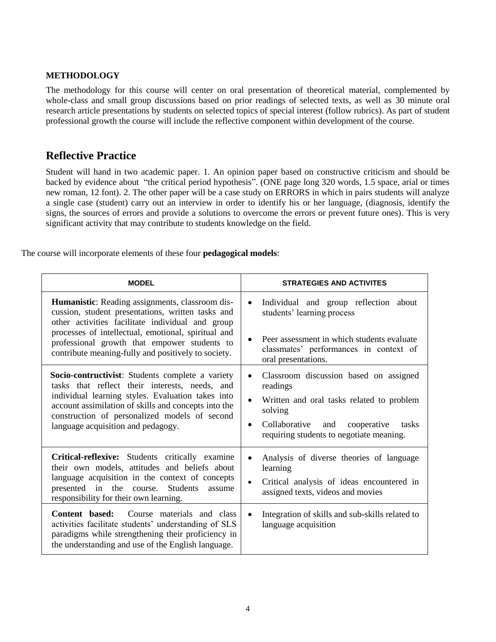### **METHODOLOGY**

The methodology for this course will center on oral presentation of theoretical material, complemented by whole-class and small group discussions based on prior readings of selected texts, as well as 30 minute oral research article presentations by students on selected topics of special interest (follow rubrics). As part of student professional growth the course will include the reflective component within development of the course.

# **Reflective Practice**

Student will hand in two academic paper. 1. An opinion paper based on constructive criticism and should be backed by evidence about "the critical period hypothesis". (ONE page long 320 words, 1.5 space, arial or times new roman, 12 font). 2. The other paper will be a case study on ERRORS in which in pairs students will analyze a single case (student) carry out an interview in order to identify his or her language, (diagnosis, identify the signs, the sources of errors and provide a solutions to overcome the errors or prevent future ones). This is very significant activity that may contribute to students knowledge on the field.

The course will incorporate elements of these four **pedagogical models**:

| <b>MODEL</b>                                                                                                                                                                                                                                                                                                           | <b>STRATEGIES AND ACTIVITES</b>                                                                                                                                                                                                               |  |  |
|------------------------------------------------------------------------------------------------------------------------------------------------------------------------------------------------------------------------------------------------------------------------------------------------------------------------|-----------------------------------------------------------------------------------------------------------------------------------------------------------------------------------------------------------------------------------------------|--|--|
| Humanistic: Reading assignments, classroom dis-<br>cussion, student presentations, written tasks and<br>other activities facilitate individual and group<br>processes of intellectual, emotional, spiritual and<br>professional growth that empower students to<br>contribute meaning-fully and positively to society. | Individual and group reflection about<br>$\bullet$<br>students' learning process<br>Peer assessment in which students evaluate<br>classmates' performances in context of<br>oral presentations.                                               |  |  |
| <b>Socio-contructivist:</b> Students complete a variety<br>tasks that reflect their interests, needs, and<br>individual learning styles. Evaluation takes into<br>account assimilation of skills and concepts into the<br>construction of personalized models of second<br>language acquisition and pedagogy.          | Classroom discussion based on assigned<br>$\bullet$<br>readings<br>Written and oral tasks related to problem<br>$\bullet$<br>solving<br>Collaborative<br>cooperative<br>and<br>tasks<br>$\bullet$<br>requiring students to negotiate meaning. |  |  |
| Critical-reflexive: Students critically examine<br>their own models, attitudes and beliefs about<br>language acquisition in the context of concepts<br>presented in the course. Students<br>assume<br>responsibility for their own learning.                                                                           | Analysis of diverse theories of language<br>$\bullet$<br>learning<br>Critical analysis of ideas encountered in<br>$\bullet$<br>assigned texts, videos and movies                                                                              |  |  |
| Course materials and class<br>Content based:<br>activities facilitate students' understanding of SLS<br>paradigms while strengthening their proficiency in<br>the understanding and use of the English language.                                                                                                       | Integration of skills and sub-skills related to<br>$\bullet$<br>language acquisition                                                                                                                                                          |  |  |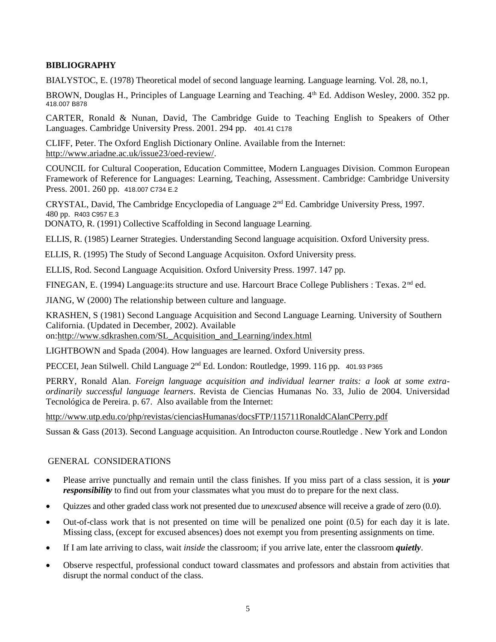## **BIBLIOGRAPHY**

BIALYSTOC, E. (1978) Theoretical model of second language learning. Language learning. Vol. 28, no.1,

BROWN, Douglas H., Principles of Language Learning and Teaching.  $4<sup>th</sup>$  Ed. Addison Wesley, 2000. 352 pp. 418.007 B878

CARTER, Ronald & Nunan, David, The Cambridge Guide to Teaching English to Speakers of Other Languages. Cambridge University Press. 2001. 294 pp. 401.41 C178

CLIFF, Peter. The Oxford English Dictionary Online. Available from the Internet: [http://www.ariadne.ac.uk/issue23/oed-review/.](http://www.ariadne.ac.uk/issue23/oed-review/)

COUNCIL for Cultural Cooperation, Education Committee, Modern Languages Division. Common European Framework of Reference for Languages: Learning, Teaching, Assessment. Cambridge: Cambridge University Press. 2001. 260 pp. 418.007 C734 E.2

CRYSTAL, David, The Cambridge Encyclopedia of Language  $2<sup>nd</sup>$  Ed. Cambridge University Press, 1997. 480 pp. R403 C957 E.3

DONATO, R. (1991) Collective Scaffolding in Second language Learning.

ELLIS, R. (1985) Learner Strategies. Understanding Second language acquisition. Oxford University press.

ELLIS, R. (1995) The Study of Second Language Acquisiton. Oxford University press.

ELLIS, Rod. Second Language Acquisition. Oxford University Press. 1997. 147 pp.

FINEGAN, E. (1994) Language: its structure and use. Harcourt Brace College Publishers : Texas.  $2<sup>nd</sup>$  ed.

JIANG, W (2000) The relationship between culture and language.

KRASHEN, S (1981) Second Language Acquisition and Second Language Learning. University of Southern California. (Updated in December, 2002). Available on[:http://www.sdkrashen.com/SL\\_Acquisition\\_and\\_Learning/index.html](http://www.sdkrashen.com/SL_Acquisition_and_Learning/index.html)

LIGHTBOWN and Spada (2004). How languages are learned. Oxford University press.

PECCEI, Jean Stilwell. Child Language 2<sup>nd</sup> Ed. London: Routledge, 1999. 116 pp. 401.93 P365

PERRY, Ronald Alan. *Foreign language acquisition and individual learner traits: a look at some extraordinarily successful language learners*. Revista de Ciencias Humanas No. 33, Julio de 2004. Universidad Tecnológica de Pereira. p. 67. Also available from the Internet:

<http://www.utp.edu.co/php/revistas/cienciasHumanas/docsFTP/115711RonaldCAlanCPerry.pdf>

Sussan & Gass (2013). Second Language acquisition. An Introducton course.Routledge . New York and London

#### GENERAL CONSIDERATIONS

- Please arrive punctually and remain until the class finishes. If you miss part of a class session, it is *your responsibility* to find out from your classmates what you must do to prepare for the next class.
- Quizzes and other graded class work not presented due to *unexcused* absence will receive a grade of zero (0.0).
- $\bullet$  Out-of-class work that is not presented on time will be penalized one point  $(0.5)$  for each day it is late. Missing class, (except for excused absences) does not exempt you from presenting assignments on time.
- If I am late arriving to class, wait *inside* the classroom; if you arrive late, enter the classroom *quietly*.
- Observe respectful, professional conduct toward classmates and professors and abstain from activities that disrupt the normal conduct of the class.